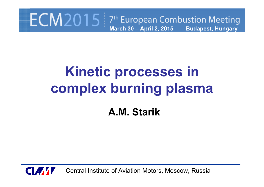### $ECM2015$  7<sup>th</sup> European Combustion Meeting **March 30 – April 2, 2015 Budapest, Hungary**

# **Kinetic processes in complex burning plasma**

**A.M. Starik**



Central Institute of Aviation Motors, Moscow, Russia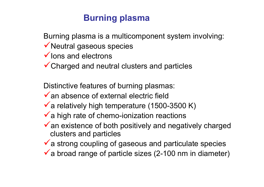### **Burning plasma**

Burning plasma is a multicomponent system involving:

- $\checkmark$  Neutral gaseous species
- $\checkmark$  lons and electrons
- $\checkmark$  Charged and neutral clusters and particles

Distinctive features of burning plasmas:

- $\checkmark$  an absence of external electric field
- $\sqrt{\ }$  a relatively high temperature (1500-3500 K)
- $\checkmark$  a high rate of chemo-ionization reactions
- $\checkmark$  an existence of both positively and negatively charged clusters and particles
- $\checkmark$  a strong coupling of gaseous and particulate species
- $\checkmark$  a broad range of particle sizes (2-100 nm in diameter)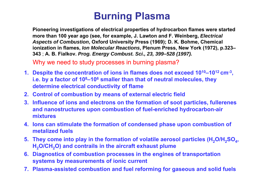## **Burning Plasma**

**Pioneering investigations of electrical properties of hydrocarbon flames were started more than 100 year ago (see, for example, J. Lawton and F. Weinberg,** *Electrical Aspects of Combustion***, Oxford University Press (1969); D. K. Bohme, Chemical ionization in flames,** *Ion Molecular Reactions***, Plenum Press, New York (1972), p.323– 343** ; **A. B. Fialkov.** *Prog. Energy Combust. Sci., 23, 399–528 (1997).*

Why we need to study processes in burning plasma?

- **1. Despite the concentration of ions in flames does not exceed 1010–1012 cm-3, i.e. by a factor of 108–106 smaller than that of neutral molecules, they determine electrical conductivity of flame**
- **2. Control of combustion by means of external electric field**
- **3. Influence of ions and electrons on the formation of soot particles, fullerenes and nanostructures upon combustion of fuel-enriched hydrocarbon-air mixtures**
- **4. Ions can stimulate the formation of condensed phase upon combustion of metalized fuels**
- **5. They come into play in the formation of volatile aerosol particles (H<sub>2</sub>O/H<sub>2</sub>SO<sub>4</sub>,** H<sub>2</sub>O/CH<sub>2</sub>O) and contrails in the aircraft exhaust plume
- **6. Diagnostics of combustion processes in the engines of transportation systems by measurements of ionic current**
- **7. Plasma-assisted combustion and fuel reforming for gaseous and solid fuels**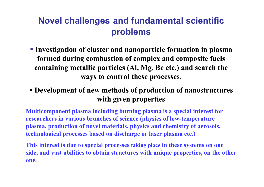### **Novel challenges and fundamental scientific problems**

- **Investigation of cluster and nanoparticle formation in plasma formed during combustion of complex and composite fuels containing metallic particles (Al, Mg, Be etc.) and search the ways to control these processes.**
- **Development of new methods of production of nanostructures with given properties**

**Multicomponent plasma including burning plasma is a special interest for researchers in various brunches of science (physics of low-temperature plasma, production of novel materials, physics and chemistry of aerosols, technological processes based on discharge or laser plasma etc.)**

**This interest is due to special processes taking place in these systems on one side, and vast abilities to obtain structures with unique properties, on the other one.**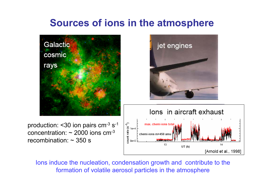### **Sources of ions in the atmosphere**



Ions induce the nucleation, condensation growth and contribute to the formation of volatile aerosol particles in the atmosphere

[Arnold et al., 1998]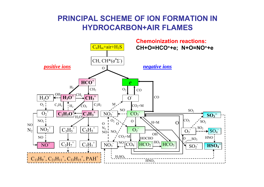#### **PRINCIPAL SCHEME OF ION FORMATION IN HYDROCARBON+AIR FLAMES**

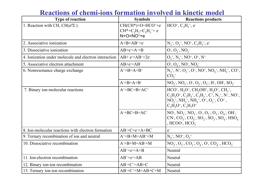#### **Type of reaction Symbols Reactions products** 1. Reaction with CH, CH( *<sup>a</sup>*<sup>4</sup>Σ- )  $CH(CH^*)+O=HCO^+ +e^ CH^*+C_2H_2=C_3H_3^{\;+}+e^ N + O = NO^+ + e$ HCO<sup>+</sup>, C<sub>3</sub>H<sub>3</sub><sup>+</sup>, e<sup>-</sup> 2. Associative ionization  $A+B=AB^+ + e^-$ ++e<sup>+</sup>  $\mathbf{N}_2^+$ ,  $\mathbf{O}_2^+$ ,  $\mathbf{N}\mathbf{O}^+$ ,  $\mathbf{C}_3\mathbf{H}_3^+$ , e<sup>+</sup> 3. Dissociative ionization $AB+e=A+B$  $O_1, O_2, NO_2$ 4. Ionization under molecule and electron interaction $n | AB + e=AB^{+}+2e^{-}$  | O<sub>2</sub>  $^+$ , N<sub>2</sub><sup>+</sup>, NO<sup>+</sup>, O<sup>+</sup>, N<sup>+</sup> 5. Associative electron attachment $AB+e=AB$  $\cdot$ , NO $\cdot$ , NO $\cdot$ 6. Nonresonance charge exchange  $A^+ + B = A + B^+$  $N_2^+, N^+, O_2^+, O^+, NO^+, NO_2^+, NH_3^+, CO^+,$  $\mathrm{CO_2}^+$  $A^-+B=A+B^ -$ , NO<sub>3</sub>, O<sub>2</sub>, O<sub>2</sub>, O<sub>3</sub>, H<sub>2</sub>, OH<sub>2</sub>, SO<sub>2</sub> 7. Binary ion-molecular reactions  $A^+$ +BC=B+AC<sup>+</sup> +  $[\text{HCO}^+, \text{H}_3\text{O}^+, \text{CH}_2\text{OH}^+, \text{H}_2\text{O}^+, \text{CH}_3^+,$  $C_2H_3O^+$ ,  $C_2H_3^+$ ,  $C_3H_3^+$ ,  $C^+$ ,  $N_2^+$ ,  $N^+$ ,  $NO^+$ ,  $NO_2^+$ ,  $NH_3^+$ ,  $NH_4^+$ ,  $O^+$ ,  $O_2^+$ ,  $CO^+$ ,  $C_3H_5O^+, C_3H_7O^+$  $A+BC=B+AC CN$ ,  $CO_3$ ,  $CO_4$ ,  $SO_2$ ,  $SO_3$ ,  $SO_4$ ,  $HSO_4$  $\cdot$ , NO<sub>3</sub>, O<sub>2</sub>, O<sub>2</sub>, O<sub>3</sub>, O<sub>4</sub>, OH<sub>2</sub>, , HCOO-,  $\text{HCO}_3$ -8. Ion-molecular reactions with electron formation $AB+C=e+A+BC$ e-9. Ternary recombination of ion and neutral  $A^+$ +B+M=AB<sup>+</sup>+M  $N_2^+$ , NO<sup>+</sup>, O<sub>2</sub><sup>+</sup> 10. Dissociative recombination  $A^-+B+M=AB^-+M$  $M \qquad [NO_2, O_3, CO_3, O_4, O_5, CO_4, HCO_3]$  $AB^+$ +e= $A$ +B Neutral 11. Ion-electron recombinationn  $AB^+ +e^- = AB$  Neutral 12. Binary ion-ion recombination  $AB+C^{\dagger}=AB+C$  Neutral 13. Ternary ion-ion recombination  $AB+C^++M=AB+C+M$ Neutral

#### **Reactions of chemi-ions formation involved in kinetic model**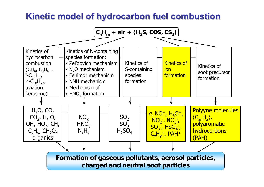### **Kinetic model of hydrocarbon fuel combustion Kinetic model of hydrocarbon fuel combustion**

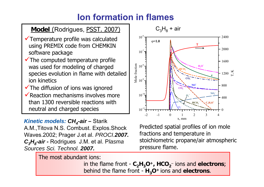### **Ion formation in flames**

 $10^-$ 

#### **Model** (Rodrigues, PSST. 2007)

- $\checkmark$  Temperature profile was calculated using PREMIX code from CHEMKIN software package
- $\checkmark$  The computed temperature profile was used for modeling of charged species evolution in flame with detailed ion kinetics
- $\checkmark$  The diffusion of ions was ignored
- $\checkmark$  Reaction mechanisms involves more than 1300 reversible reactions with neutral and charged species

#### *Kinetic models: CH<sub>4</sub>-air – Starik*

A.M.,Titova N.S. Combust. Explos.Shock Waves.2002; Prager J.et al. *PROCI.2007. C3H8-air -* Rodrigues J.M. et al. P*lasma Sources Sci. Technol. 2007.* 





2400

Predicted spatial profiles of ion mole fractions and temperature in stoichiometric propane/air atmospheric pressure flame.

in the flame front - **C 2H 3O +, HCO 2**− ions and **electrons**; behind the flame front - **H 3O+** ions and **electrons**.

The most abundant ions: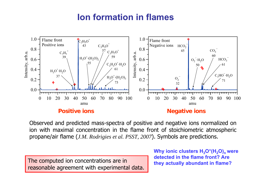### **Ion formation in flames**



Observed and predicted mass-spectra of positive and negative ions normalized on ion with maximal concentration in the flame front of stoichiometric atmospheric propane/air flame (*J.M. Rodrigies et al. PSST, 2007*). Symbols are predictions.

The computed ion concentrations are in reasonable agreement with experimental data.

**Why ionic clusters**  $H_3O^+(H_2O)$ **<sub>n</sub> were detected in the flame front? Are they actually abundant in flame?**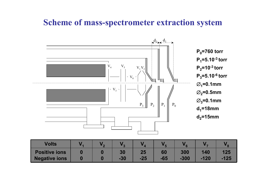### **Scheme of mass-spectrometer extraction system**



| <b>Volts</b>         |  |       |       |       |        |      |        |
|----------------------|--|-------|-------|-------|--------|------|--------|
| <b>Positive ions</b> |  | 30    | 25    | 60    | 300    | 140  | 125    |
| <b>Negative ions</b> |  | $-30$ | $-25$ | $-65$ | $-300$ | -120 | $-125$ |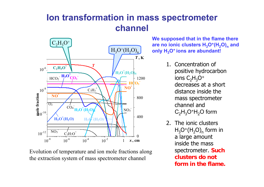### **Ion transformation in mass spectrometer channel**



Evolution of temperature and ion mole fractions along the extraction system of mass spectrometer channel

**We supposed that in the flame there are no ionic clusters H 3O +(H <sup>2</sup>O) n and only H 3O+ ions are abundant!**

- 1. Concentration of positive hydrocarbon ions  $\mathsf{C_2H_3O^+}$ decreases at a short distance inside the mass spectrometer channel and  $\rm C_2H_3O$  $^+{\sf H}_2{\sf O}$  form
- 2. The ionic clusters $H_3O^+(H_2O)_n$  form in a large amount inside the mass spectrometer. **Such clusters do not form in the flame.**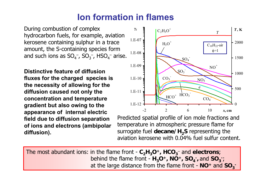### **Ion formation in flames**

During combustion of complex hydrocarbon fuels, for example, aviation kerosene containing sulphur in a trace amount, the S-containing species form and such ions as  $\mathsf{SO_4}^-$ ,  $\mathsf{SO_3}^-$ , HSO<sub>4</sub> $^-$  arise.

**Distinctive feature of diffusion fluxes for the charged species is the necessity of allowing for the diffusion caused not only the concentration and temperature gradient but also owing to the appearance of internal electric field due to diffusion separation of ions and electrons (ambipolar diffusion).**



Predicted spatial profile of ion mole fractions and temperature in atmospheric pressure flame for surrogate fuel **decane/H <sup>2</sup>S** representing the aviation kerosene with 0.04% fuel sulfur content.

The most abundant ions: in the flame front - **C 2H 3O +, HCO 3**− and **electrons**; behind the flame front  $\cdot$   $H_3O^+$ ,  $NO^+$ ,  $SO_4^-$ , and  $SO_3^-$ ; at the large distance from the flame front - NO<sup>+</sup> and SO<sub>3</sub><sup>-</sup>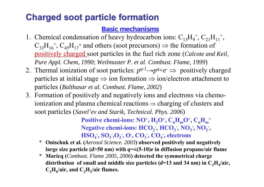### **Charged soot particle formation Charged soot particle formation**

#### **Basic mechanisms**

- 1. Chemical condensation of heavy hydrocarbon ions:  $C_{13}H_9^+, C_{21}H_{11}^+,$  $C_{33}H_{16}^+$ ,  $C_{45}H_{17}^+$  and others (soot precursors)  $\Rightarrow$  the formation of positively charged soot particles in the fuel rich zone (*Calcote and Keil, Pure Appl. Chem, 1990*; *Weilmuster P. et al. Combust. Flame*, *<sup>1999</sup>*)
- 2. Thermal ionization of soot particles:  $p^{q-1} \rightarrow p^{q} + e^- \Rightarrow$  positively charged particles at initial stage  $\Rightarrow$  ion formation  $\Rightarrow$  ion/electron attachment to particles (*Balthasar et al. Combust. Flame, 2002*)
- 3. Formation of positively and negatively ions and electrons via chemoionization and plasma chemical reactions  $\Rightarrow$  charging of clusters and soot particles (*Savel'ev and Starik, Technical. Phys. 2006*)

Positive chemi-ions: NO<sup>+</sup>, H<sub>3</sub>O<sup>+</sup>, C<sub>n</sub>H<sub>m</sub>O<sup>+</sup>, C<sub>n</sub>H<sub>m</sub><sup>+</sup> **Negative chemi-ions: HCO<sub>2</sub><sup>-</sup>, <b>HCO<sub>3</sub><sup>-</sup>, NO<sub>3</sub><sup>-</sup>, NO<sub>2</sub><sup>-</sup>, HSO<sub>4</sub><sup>-</sup>, SO<sub>3</sub><sup>-</sup>, O<sub>2</sub><sup>-</sup>, O<sup>-</sup>, CO<sub>3</sub><sup>-</sup>, CO<sub>4</sub><sup>-</sup>, electrons** 

- \* **Onischuk et al. (***Aerosol Science. 2003***) observed positively and negatively**  large size particle  $(d>50 \text{ nm})$  with  $q=\pm(5-10)e$  in diffusion propane/air flame
- \* **Maricq (***Combust. Flame 2005, 2006***) detected the symmetrical charge**  distribution of small and middle size particles  $(d=13 \text{ and } 34 \text{ nm})$  in  $C_2H_4/air$ , C<sub>2</sub>H<sub>6</sub>/air, and C<sub>2</sub>H<sub>2</sub>/air flames.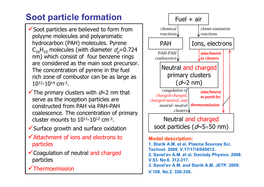### **Soot particle formation**

 $\checkmark$  Soot particles are believed to form from polyyne molecules and polyaromatic hydrocarbon (PAH) molecules. Pyrene  $\mathsf{C}_{16}\mathsf{H}_{10}$  molecules (with diameter  $\mathsf{d}_{\rho}\!\!=\!\!0.724$ nm) which consist of four benzene rings are considered as the main soot precursor. The concentration of pyrene in the fuel rich zone of combustor can be as large as  $10^{12} - 10^{14}$  cm<sup>-3</sup>.

 $\checkmark$  The primary clusters with  $d=2$  nm that serve as the inception particles are constructed from PAH via PAH-PAH coalescence. The concentration of primary cluster mounts to  $10^{11}$ - $10^{12}$  cm<sup>-3</sup>.

- $\checkmark$  Surface growth and surface oxidation
- $\checkmark$  Attachment of ions and electrons to particles
- $\checkmark$  Coagulation of neutral and charged particles

 $\checkmark$  Thermoemission



#### **Model description:**

- **1. Starik A.M. et al. Plasma Sources Sci. Technol. 2008. V.17/17/4/045012.**
- **2. Savel'ev A.M. et al. Doclady Physics. 2008. V.53. No.6. 312-317.**
- **3. Savel'ev A.M. and Starik A.M. JETP. 2009.**
- **V.108. No.2. 326-339.**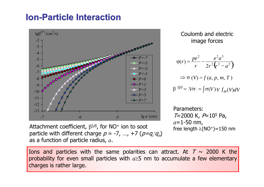### **Ion-Particle Interaction**



Attachment coefficient,  $\beta^{(\rho)}$ , for NO<sup>+</sup> ion to soot particle with different charge  $p = -7$ , ...,  $+7$  ( $p=q_iq_n$ ) as a function of particle radius, *<sup>a</sup>*.

Coulomb and electric image forces

$$
\varphi(r) = \frac{pe^2}{r} - \frac{e^2 a^3}{2r^2 (r^2 - a^2)}
$$
  
\n
$$
\Rightarrow \sigma(V) = f(a, p, m, T)
$$
  
\n
$$
\beta^{(p)} = \langle V\sigma \rangle = \int \sigma(V) V f_m(V) dV
$$

Parameters:  $T=2000$  K,  $P=10^5$  Pa, *<sup>a</sup>*=1-50 nm, free length  $\lambda (NO^+)$ =150 nm

Ions and particles with the same polarities can attract. At  $T \sim 2000$  K the probability for even small particles with *a*≥5 nm to accumulate a few elementary charges is rather large.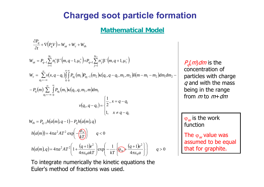### **Charged soot particle formation**

#### **Mathematical Model**

$$
\frac{\partial P_q}{\partial t} + \nabla (P_q V) = W_{at} + W_c + W_{th}
$$
\n
$$
W_{at} = P_{q-1} \sum_{i=1}^{N_1} n_i^+ \beta^+ (m, q-1, \mu_i^+) + P_{q+1} \sum_{j=1}^{N_2} n_j^- \beta^- (m, q+1, \mu_i^-)
$$
\n
$$
W_c = \sum_{q_1=-\infty}^{\infty} \nu(x, q-q_1) \int_{0}^{\infty} \int_{0}^{\infty} P_{q_1}(m_1) P_{q_1-1}(m_2) \kappa(q_1, q-q_1, m_1, m_2) \delta(m-m_1-m_2) dm_1 dm_2 - P_q(m) \sum_{q_1=-\infty}^{\infty} \int_{0}^{\infty} P_{q_1}(m_1) \kappa(q_1, q, m_1, m) dm_1
$$
\n
$$
v(q_1, q-q_1) = \begin{cases} \frac{1}{2}, x = q-q_1 \\ 1, x \neq q-q_1 \end{cases}
$$
\n
$$
W_{th} = P_{q-1} h(a(m), q-1) - P_q h(a(m), q)
$$
\n
$$
h(a(m)) = 4\pi a^2 A T^2 \exp\left(-\frac{\phi_w}{kT}\right) \qquad q < 0
$$
\n
$$
h(a(m), q) = 4\pi a^2 A T^2 \left(1 + \frac{(q+1)e^2}{4\pi \epsilon_0 a k T}\right) \exp\left(-\frac{1}{kT} \left\{\frac{\phi_w}{4\pi \epsilon_0 a}\right\}\right) \qquad q > 0
$$

 $P_{q}\!\!\left( m\right)$ d $m$  is the concentration of particles with charge  $q$  and with the mass being in the range from *m* to *m*+*dm* 

 $\varphi_w$  is the work function

The  $\varphi_{w}$  value was assumed to be equal that for graphite.

To integrate numerically the kinetic equations the Euler's method of fractions was used.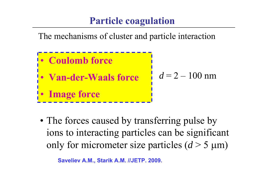### **Particle coagulation**

The mechanisms of cluster and particle interaction



• The forces caused by transferring pulse by ions to interacting particles can be significant only for micrometer size particles  $(d > 5 \mu m)$ 

**Saveliev А.М., Starik А.М. //JETP. 2009.**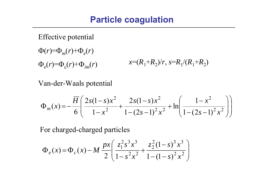### **Particle coagulation**

Effective potential

 $\Phi(r) = \Phi_m(r) + \Phi_e(r)$  $\Phi_e(r) = \Phi_e(r) + \Phi_{im}(r)$  $x=(R_1+R_2)/r, s=R_1/(R_1+R_2)$ 

Van-der-Waals potential

$$
\Phi_m(x) = -\frac{\overline{H}}{6} \left( \frac{2s(1-s)x^2}{1-x^2} + \frac{2s(1-s)x^2}{1-(2s-1)^2 x^2} + \ln \left( \frac{1-x^2}{1-(2s-1)^2 x^2} \right) \right)
$$

For charged-charged particles

$$
\Phi_e(x) = \Phi_c(x) - M \frac{px}{2} \left( \frac{z_1^2 s^3 x^3}{1 - s^2 x^2} + \frac{z_2^2 (1 - s)^3 x^3}{1 - (1 - s)^2 x^2} \right)
$$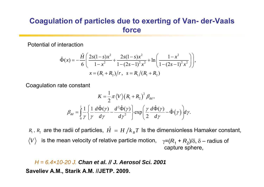#### **Coagulation of particles due to exerting of Van- der-Vaals force**

Potential of interaction

$$
\hat{\Phi}(x) = -\frac{\hat{H}}{6} \left( \frac{2s(1-s)x^2}{1-x^2} + \frac{2s(1-s)x^2}{1-(2s-1)^2 x^2} + \ln \left( \frac{1-x^2}{1-(2s-1)^2 x^2} \right) \right),
$$
  

$$
x = (R_1 + R_2)/r, \quad s = R_1/(R_1 + R_2)
$$

Coagulation rate constant

$$
K = \frac{1}{2} \pi \langle V \rangle \left( R_1 + R_2 \right)^2 \beta_{dd},
$$
  

$$
\beta_{dd} = \int_0^1 \frac{1}{\gamma} \left\{ \frac{1}{\gamma} \frac{d\hat{\Phi}(\gamma)}{d\gamma} - \frac{d^2 \hat{\Phi}(\gamma)}{d\gamma^2} \right\} \exp\left( \frac{\gamma}{2} \frac{d\hat{\Phi}(\gamma)}{d\gamma} - \hat{\Phi}(\gamma) \right) d\gamma.
$$

 $R_1$  ,  $R_2$  are the radii of particles,  $\hat{H}\,=\,H\,/k_{\,B}T\,$  Is the dimensionless Hamaker constant, is the mean velocity of relative particle motion,  $\quad \gamma$ =( $R_{\scriptscriptstyle 1}$  +  $R_{\scriptscriptstyle 2}$ )/δ, δ – radius of *V* capture sphere,

*H = 6.4×10-20 J. Chan et al. // J. Aerosol Sci. 2001***Saveliev А.М., Starik А.М. //JETP. 2009.**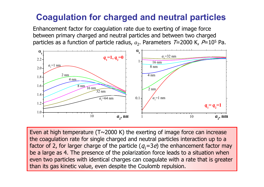### **Coagulation for charged and neutral particles**

Enhancement factor for coagulation rate due to exerting of image force between primary charged and neutral particles and between two charged particles as a function of particle radius,  $a_2$ . Parameters *T*=2000 K, *P*=10<sup>5</sup> Pa.



Even at high temperature (T~2000 K) the exerting of image force can increase the coagulation rate for single charged and neutral particles interaction up to a factor of 2, for larger charge of the particle  $(q_1=3e)$  the enhancement factor may be a large as 4. The presence of the polarization force leads to a situation when even two particles with identical charges can coagulate with a rate that is greater than its gas kinetic value, even despite the Coulomb repulsion.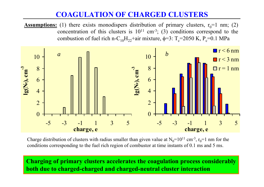#### **COAGULATION OF CHARGED CLUSTERS**

**Assumptions:** (1) there exists monodispers distribution of primary clusters,  $r_0=1$  nm; (2) concentration of this clusters is  $10^{11}$  cm<sup>-3</sup>; (3) conditions correspond to the combustion of fuel rich n-C<sub>10</sub>H<sub>22</sub>+air mixture,  $\phi$ =3: T<sub>c</sub>=2050 K, P<sub>c</sub>=0.1 MPa



Charge distribution of clusters with radius smaller than given value at  $N_0=10^{11}$  cm<sup>-3</sup>,  $r_0=1$  nm for the conditions corresponding to the fuel rich region of combustor at time instants of 0.1 ms and 5 ms.

**Charging of primary clusters accelerates the coagulation process considerably both due to charged-charged and charged-neutral cluster interaction**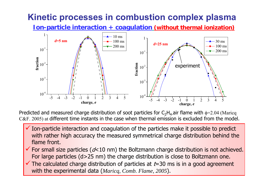### **Kinetic processes in combustion complex plasma**

**Ion-particle interaction + coagulation (without thermal ionization)**



Predicted and measured charge distribution of soot particles for  $\mathsf{C_2H_4}$  air flame with  $\phi$ =2.04 (Maricq C&F. 2005) at different time instants in the case when thermal emission is excluded from the model.

- $\checkmark$  Ion-particle interaction and coagulation of the particles make it possible to predict with rather high accuracy the measured symmetrical charge distribution behind the flame front.
- $\checkmark$  For small size particles ( $d$ <10 nm) the Boltzmann charge distribution is not achieved. For large particles (d>25 nm) the charge distribution is close to Boltzmann one.
- $\checkmark$  $\checkmark$  The calculated charge distribution of particles at  $t=30$  ms is in a good agreement with the experimental data (*Maricq, Comb. Flame, 2005*).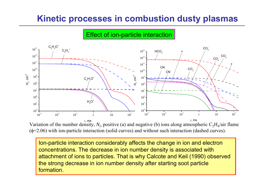### **Kinetic processes in combustion dusty plasmas**

#### Effect of ion-particle interaction



Variation of the number density,  $N_i$ , positive (a) and negative (b) ions along atmospheric  $C_2H_4/$ air flame (φ=2.06) with ion-particle interaction (solid curves) and without such interaction (dashed curves).

Ion-particle interaction considerably affects the change in ion and electron concentrations. The decrease in ion number density is associated with attachment of ions to particles. That is why Calcote and Keil (1990) observed the strong decrease in ion number density after starting soot particle formation.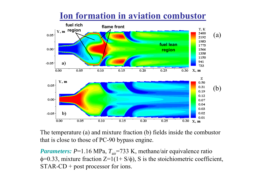

### **Ion formation in aviation combustor**

The temperature (a) and mixture fraction (b) fields inside the combustor that is close to those of PC-90 bypass engine.

*Parameters:* P=1.16 MPa,  $T_{air}$ =733 K, methane/air equivalence ratio  $\phi$ =0.33, mixture fraction Z=1(1+ S/ $\phi$ ), S is the stoichiometric coefficient, STAR-CD + post processor for ions.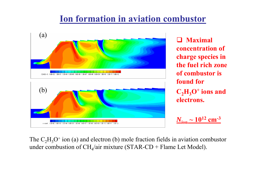### **Ion formation in aviation combustor**



 $\Box$  **Maximal concentration of charge species in the fuel rich zone of combustor is found for C 2H 3O + ions and electrons.**

$$
N_{\rm ion} \sim 10^{12}~\rm cm^{-3}
$$

The  $\rm{C_2H_3O}$ + ion (a) and electron (b) mole fraction fields in aviation combustor under combustion of  $CH_4/a$ ir mixture (STAR-CD + Flame Let Model).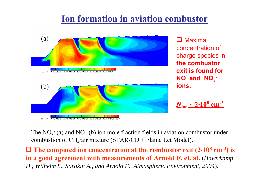### **Ion formation in aviation combustor**



**Q** Maximal concentration of charge species in **the combustor exit is found for NO+ and NO 3 ions.** 

*N***ion ~ 2·10 8 cm-<sup>3</sup>**

The  $NO<sub>3</sub><sup>-</sup>$  (a) and  $NO<sup>+</sup>$  (b) ion mole fraction fields in aviation combustor under combustion of  $\text{CH}_4/\text{air}$  mixture (STAR-CD + Flame Let Model).

 **The computed ion concentration at the combustor exit (2**⋅**10 8 cm-3) is in a good agreement with measurements of Arnold F. et. al.**  (*Haverkamp H., Wilhelm S., Sorokin A., and Arnold F., Atmospheric Environment, 2004* )*.*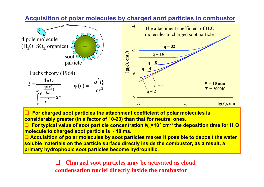

**Acquisition of polar molecules by charged soot particles in combustor**

 $\Box$  **For charged soot particles the attachment coefficient of polar molecules is considerably greater (in a factor of 10-20) than that for neutral ones.**

□ ■ For typical value of soot particle concentration  $N_s$ =10<sup>7</sup> cm<sup>-3</sup> the deposition time for H<sub>2</sub>O **molecule to charged soot particle is ~ 10 ms.**

 **Acquisition of polar molecules by soot particles makes it possible to deposit the water soluble materials on the particle surface directly inside the combustor, as a result, a primary hydrophobic soot particles become hydrophilic.**

> $\Box$  **Charged soot particles may be activated as cloud condensation nuclei directly inside the combustor**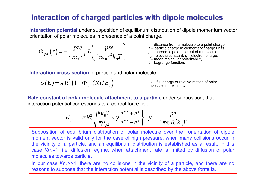#### **Interaction of charged particles with dipole molecules Interaction of charged particles with dipole molecules**

**Interaction potential** under supposition of equilibrium distribution of dipole momentum vector orientation of polar molecules in presence of a point charge.

$$
\Phi_{pd}\left(r\right) = -\frac{pze}{4\pi\varepsilon_0 r^2} L\left(\frac{pze}{4\pi\varepsilon_0 r^2 k_B T}\right)
$$

*r* – distance from a molecule to a point charge, *z* – particle charge in elementary charge units, *p* – inherent dipole moment of a molecule,  $\varepsilon_0$  – electric constant,  $e$  – electron charge,  $\alpha$ – mean molecular polarizability, *L* - Lagrange function.

**Interaction cross-section** of particle and polar molecule.

 $\sigma(E) = \pi R^2 \left(1 - \Phi_{pd}(R)/E_0\right)$ 

 $E_{\rm 0}$  – full energy of relative motion of polar<br>molecule in the infinity

**Rate constant of polar molecule attachment to a particle** under supposition, that interaction potential corresponds to a central force field.

$$
K_{pd} = \pi R_0^2 \sqrt{\frac{8k_B T}{\pi \mu_{pd}}} \left\{ y \frac{e^{-y} + e^y}{e^{-y} - e^y} \right\}, y = \frac{pe}{4\pi \varepsilon_0 R_0^2 k_B T}
$$

Supposition of equilibrium distribution of polar molecule over the orientation of dipole moment vector is valid only for the case of high pressure, when many collisions occur in the vicinity of a particle, and an equilibrium distribution is established as a result. In this case Kn<sub>p</sub>=1, i.e. diffusion regime, when attachment rate is limited by diffusion of polar molecules towards particle.

In our case  $\mathsf{Kn}_p$ >>1, there are no collisions in the vicinity of a particle, and there are no reasons to suppose that the interaction potential is described by the above formula.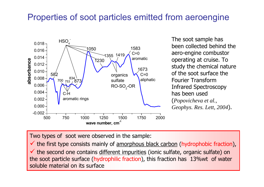### Properties of soot particles emitted from aeroengine



The soot sample has been collected behind the aero-engine combustor operating at cruise. To study the chemical nature of the soot surface the Fourier Transform Infrared Spectroscopy has been used (*Popovicheva et al., Geophys. Res. Lett, 2004*).

Two types of soot were observed in the sample:

 $\checkmark$  the first type consists mainly of amorphous black carbon (hydrophobic fraction),  $\checkmark$  the second one contains different impurities (ionic sulfate, organic sulfate) on the soot particle surface (hydrophilic fraction), this fraction has 13%wt of water soluble material on its surface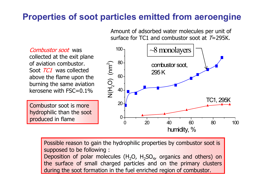### **Properties of soot particles emitted from aeroengine**

Amount of adsorbed water molecules per unit of surface for TC1 and combustor soot at T=295K.

Combustor soot was collected at the exit plane of aviation combustor. Soot *TC1* was collected above the flame upon the burning the same aviation kerosene with FSC=0.1%

Combustor soot is more hydrophilic than the soot produced in flame



Possible reason to gain the hydrophilic properties by combustor soot is supposed to be following : Deposition of polar molecules ( $H_2O$ ,  $H_2SO_4$ , organics and others) on the surface of small charged particles and on the primary clusters

during the soot formation in the fuel enriched region of combustor.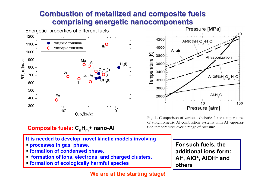#### **Combustion of metallized and composite fuels Combustion of metallized and composite fuels comprising energetic nanocomponents**





Fig. 1. Comparison of various adiabatic flame temperatures of stoichiometric Al combustion systems with Al vaporization temperatures over a range of pressure.



- **processes in gas phase,**
- **formation of condensed phase,**

**Composite fuels: C nH <sup>m</sup>+ nano-Al**

- **formation of ions, electrons and charged clusters,**
- **formation of ecologically harmful species**

**For such fuels, the additional ions form: Al +, AlO +, AlOH + and others**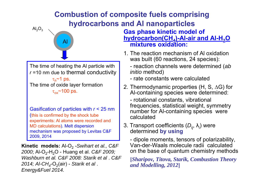### **Combustion of composite fuels comprising hydrocarbons and Al nanoparticles**



The time of heating the Al particle with *<sup>r</sup>*=10 nm due to thermal conductivity τ *<sup>h</sup>*~1 ps. The time of oxide layer formation <sup>τ</sup>*ox*~100 ps.

Gasification of particles with *r* <sup>&</sup>lt; 25 nm (this is confirmed by the shock tube experiments: Al atoms were recorded and MD calculations). Melt dispersion mechanism was proposed by Levitas C&F 2009, 2014

**Kinetic models:** Al-O 2 -*Swihart et al., C&F*  2000; Al-O<sub>2</sub>-H<sub>2</sub>O - Huang et al. *C&F 2009; Washburn et al. C&F 2008: Starik et al* . *C&F 2014; Al-CH4*-O 2(air) - *Starik et al* . *Energy&Fuel 2014.*

**Gas phase kinetic model of hydrocarbon(СН 4)-Al-air and Al-Н 2O mixtures oxidation:** 

- 1. The reaction mechanism of Al oxidation was built (60 reactions, 24 species):
	- reaction channels were determined (*ab initio* method)
	- rate constants were calculated
- 2. Thermodynamic properties (H, S, ΔG) for Al-containing species were determined:
	- rotational constants, vibrational frequencies, statistical weight, symmetry number for Al-containing species were calculated
- 3. Transport coefficients (*D*<sub>ij</sub>, λ<sub>i</sub>) were<br>determined **by using** determined by using

- dipole moments, tensors of polarizability, Van-der-Waals molecule radii calculated on the base of quantum chemistry methods

**[***Sharipov, Titova, Starik, Combustion Theory and Modelling, 2012***]**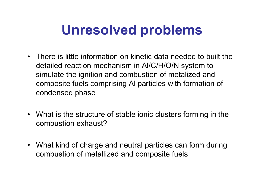## **Unresolved problems**

- There is little information on kinetic data needed to built the detailed reaction mechanism in Al/C/H/O/N system to simulate the ignition and combustion of metalized and composite fuels comprising Al particles with formation of condensed phase
- What is the structure of stable ionic clusters forming in the combustion exhaust?
- What kind of charge and neutral particles can form during combustion of metallized and composite fuels